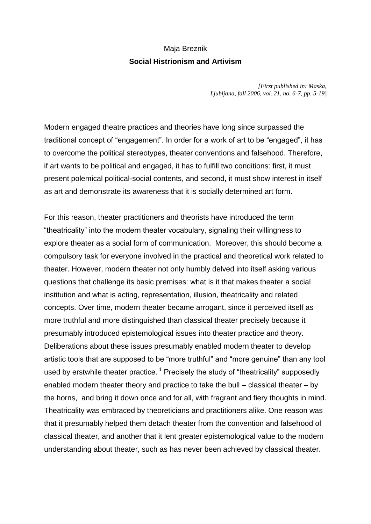## Maja Breznik **Social Histrionism and Artivism**

*[First published in: Maska, Ljubljana, fall 2006, vol. 21, no. 6-7, pp. 5-19*]

Modern engaged theatre practices and theories have long since surpassed the traditional concept of "engagement". In order for a work of art to be "engaged", it has to overcome the political stereotypes, theater conventions and falsehood. Therefore, if art wants to be political and engaged, it has to fulfill two conditions: first, it must present polemical political-social contents, and second, it must show interest in itself as art and demonstrate its awareness that it is socially determined art form.

For this reason, theater practitioners and theorists have introduced the term "theatricality" into the modern theater vocabulary, signaling their willingness to explore theater as a social form of communication. Moreover, this should become a compulsory task for everyone involved in the practical and theoretical work related to theater. However, modern theater not only humbly delved into itself asking various questions that challenge its basic premises: what is it that makes theater a social institution and what is acting, representation, illusion, theatricality and related concepts. Over time, modern theater became arrogant, since it perceived itself as more truthful and more distinguished than classical theater precisely because it presumably introduced epistemological issues into theater practice and theory. Deliberations about these issues presumably enabled modern theater to develop artistic tools that are supposed to be "more truthful" and "more genuine" than any tool used by erstwhile theater practice.<sup>1</sup> Precisely the study of "theatricality" supposedly enabled modern theater theory and practice to take the bull – classical theater – by the horns, and bring it down once and for all, with fragrant and fiery thoughts in mind. Theatricality was embraced by theoreticians and practitioners alike. One reason was that it presumably helped them detach theater from the convention and falsehood of classical theater, and another that it lent greater epistemological value to the modern understanding about theater, such as has never been achieved by classical theater.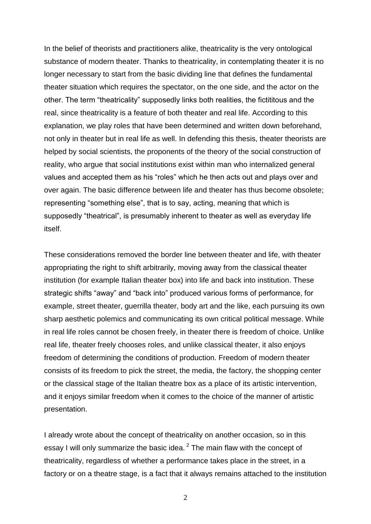In the belief of theorists and practitioners alike, theatricality is the very ontological substance of modern theater. Thanks to theatricality, in contemplating theater it is no longer necessary to start from the basic dividing line that defines the fundamental theater situation which requires the spectator, on the one side, and the actor on the other. The term "theatricality" supposedly links both realities, the fictititous and the real, since theatricality is a feature of both theater and real life. According to this explanation, we play roles that have been determined and written down beforehand, not only in theater but in real life as well. In defending this thesis, theater theorists are helped by social scientists, the proponents of the theory of the social construction of reality, who argue that social institutions exist within man who internalized general values and accepted them as his "roles" which he then acts out and plays over and over again. The basic difference between life and theater has thus become obsolete; representing "something else", that is to say, acting, meaning that which is supposedly "theatrical", is presumably inherent to theater as well as everyday life itself.

These considerations removed the border line between theater and life, with theater appropriating the right to shift arbitrarily, moving away from the classical theater institution (for example Italian theater box) into life and back into institution. These strategic shifts "away" and "back into" produced various forms of performance, for example, street theater, guerrilla theater, body art and the like, each pursuing its own sharp aesthetic polemics and communicating its own critical political message. While in real life roles cannot be chosen freely, in theater there is freedom of choice. Unlike real life, theater freely chooses roles, and unlike classical theater, it also enjoys freedom of determining the conditions of production. Freedom of modern theater consists of its freedom to pick the street, the media, the factory, the shopping center or the classical stage of the Italian theatre box as a place of its artistic intervention, and it enjoys similar freedom when it comes to the choice of the manner of artistic presentation.

I already wrote about the concept of theatricality on another occasion, so in this essay I will only summarize the basic idea. $^2$  The main flaw with the concept of theatricality, regardless of whether a performance takes place in the street, in a factory or on a theatre stage, is a fact that it always remains attached to the institution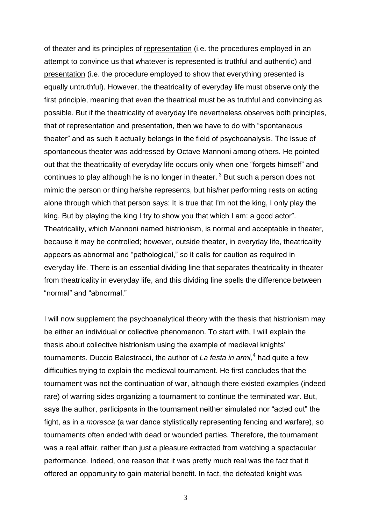of theater and its principles of representation (i.e. the procedures employed in an attempt to convince us that whatever is represented is truthful and authentic) and presentation (i.e. the procedure employed to show that everything presented is equally untruthful). However, the theatricality of everyday life must observe only the first principle, meaning that even the theatrical must be as truthful and convincing as possible. But if the theatricality of everyday life nevertheless observes both principles, that of representation and presentation, then we have to do with "spontaneous theater" and as such it actually belongs in the field of psychoanalysis. The issue of spontaneous theater was addressed by Octave Mannoni among others. He pointed out that the theatricality of everyday life occurs only when one "forgets himself" and continues to play although he is no longer in theater.  $3$  But such a person does not mimic the person or thing he/she represents, but his/her performing rests on acting alone through which that person says: It is true that I'm not the king, I only play the king. But by playing the king I try to show you that which I am: a good actor". Theatricality, which Mannoni named histrionism, is normal and acceptable in theater, because it may be controlled; however, outside theater, in everyday life, theatricality appears as abnormal and "pathological," so it calls for caution as required in everyday life. There is an essential dividing line that separates theatricality in theater from theatricality in everyday life, and this dividing line spells the difference between "normal" and "abnormal."

I will now supplement the psychoanalytical theory with the thesis that histrionism may be either an individual or collective phenomenon. To start with, I will explain the thesis about collective histrionism using the example of medieval knights' tournaments. Duccio Balestracci, the author of *La festa in armi,*<sup>4</sup> had quite a few difficulties trying to explain the medieval tournament. He first concludes that the tournament was not the continuation of war, although there existed examples (indeed rare) of warring sides organizing a tournament to continue the terminated war. But, says the author, participants in the tournament neither simulated nor "acted out" the fight, as in a *moresca* (a war dance stylistically representing fencing and warfare), so tournaments often ended with dead or wounded parties. Therefore, the tournament was a real affair, rather than just a pleasure extracted from watching a spectacular performance. Indeed, one reason that it was pretty much real was the fact that it offered an opportunity to gain material benefit. In fact, the defeated knight was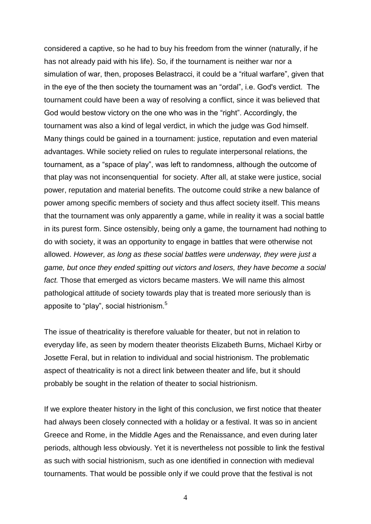considered a captive, so he had to buy his freedom from the winner (naturally, if he has not already paid with his life). So, if the tournament is neither war nor a simulation of war, then, proposes Belastracci, it could be a "ritual warfare", given that in the eye of the then society the tournament was an "ordal", i.e. God's verdict. The tournament could have been a way of resolving a conflict, since it was believed that God would bestow victory on the one who was in the "right". Accordingly, the tournament was also a kind of legal verdict, in which the judge was God himself. Many things could be gained in a tournament: justice, reputation and even material advantages. While society relied on rules to regulate interpersonal relations, the tournament, as a "space of play", was left to randomness, although the outcome of that play was not inconsenquential for society. After all, at stake were justice, social power, reputation and material benefits. The outcome could strike a new balance of power among specific members of society and thus affect society itself. This means that the tournament was only apparently a game, while in reality it was a social battle in its purest form. Since ostensibly, being only a game, the tournament had nothing to do with society, it was an opportunity to engage in battles that were otherwise not allowed. *However, as long as these social battles were underway, they were just a game, but once they ended spitting out victors and losers, they have become a social fact.* Those that emerged as victors became masters. We will name this almost pathological attitude of society towards play that is treated more seriously than is apposite to "play", social histrionism.<sup>5</sup>

The issue of theatricality is therefore valuable for theater, but not in relation to everyday life, as seen by modern theater theorists Elizabeth Burns, Michael Kirby or Josette Feral, but in relation to individual and social histrionism. The problematic aspect of theatricality is not a direct link between theater and life, but it should probably be sought in the relation of theater to social histrionism.

If we explore theater history in the light of this conclusion, we first notice that theater had always been closely connected with a holiday or a festival. It was so in ancient Greece and Rome, in the Middle Ages and the Renaissance, and even during later periods, although less obviously. Yet it is nevertheless not possible to link the festival as such with social histrionism, such as one identified in connection with medieval tournaments. That would be possible only if we could prove that the festival is not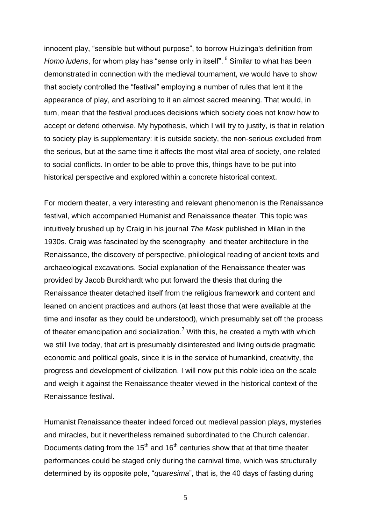innocent play, "sensible but without purpose", to borrow Huizinga's definition from *Homo ludens*, for whom play has "sense only in itself". <sup>6</sup> Similar to what has been demonstrated in connection with the medieval tournament, we would have to show that society controlled the "festival" employing a number of rules that lent it the appearance of play, and ascribing to it an almost sacred meaning. That would, in turn, mean that the festival produces decisions which society does not know how to accept or defend otherwise. My hypothesis, which I will try to justify, is that in relation to society play is supplementary: it is outside society, the non-serious excluded from the serious, but at the same time it affects the most vital area of society, one related to social conflicts. In order to be able to prove this, things have to be put into historical perspective and explored within a concrete historical context.

For modern theater, a very interesting and relevant phenomenon is the Renaissance festival, which accompanied Humanist and Renaissance theater. This topic was intuitively brushed up by Craig in his journal *The Mask* published in Milan in the 1930s. Craig was fascinated by the scenography and theater architecture in the Renaissance, the discovery of perspective, philological reading of ancient texts and archaeological excavations. Social explanation of the Renaissance theater was provided by Jacob Burckhardt who put forward the thesis that during the Renaissance theater detached itself from the religious framework and content and leaned on ancient practices and authors (at least those that were available at the time and insofar as they could be understood), which presumably set off the process of theater emancipation and socialization.<sup>7</sup> With this, he created a myth with which we still live today, that art is presumably disinterested and living outside pragmatic economic and political goals, since it is in the service of humankind, creativity, the progress and development of civilization. I will now put this noble idea on the scale and weigh it against the Renaissance theater viewed in the historical context of the Renaissance festival.

Humanist Renaissance theater indeed forced out medieval passion plays, mysteries and miracles, but it nevertheless remained subordinated to the Church calendar. Documents dating from the 15<sup>th</sup> and 16<sup>th</sup> centuries show that at that time theater performances could be staged only during the carnival time, which was structurally determined by its opposite pole, "*quaresima*", that is, the 40 days of fasting during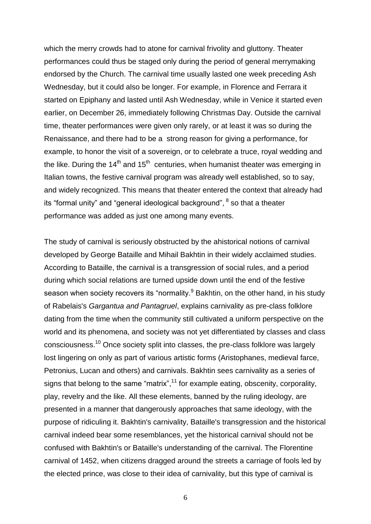which the merry crowds had to atone for carnival frivolity and gluttony. Theater performances could thus be staged only during the period of general merrymaking endorsed by the Church. The carnival time usually lasted one week preceding Ash Wednesday, but it could also be longer. For example, in Florence and Ferrara it started on Epiphany and lasted until Ash Wednesday, while in Venice it started even earlier, on December 26, immediately following Christmas Day. Outside the carnival time, theater performances were given only rarely, or at least it was so during the Renaissance, and there had to be a strong reason for giving a performance, for example, to honor the visit of a sovereign, or to celebrate a truce, royal wedding and the like. During the 14<sup>th</sup> and 15<sup>th</sup> centuries, when humanist theater was emerging in Italian towns, the festive carnival program was already well established, so to say, and widely recognized. This means that theater entered the context that already had its "formal unity" and "general ideological background", <sup>8</sup> so that a theater performance was added as just one among many events.

The study of carnival is seriously obstructed by the ahistorical notions of carnival developed by George Bataille and Mihail Bakhtin in their widely acclaimed studies. According to Bataille, the carnival is a transgression of social rules, and a period during which social relations are turned upside down until the end of the festive season when society recovers its "normality.<sup>9</sup> Bakhtin, on the other hand, in his study of Rabelais's *Gargantua and Pantagruel*, explains carnivality as pre-class folklore dating from the time when the community still cultivated a uniform perspective on the world and its phenomena, and society was not yet differentiated by classes and class consciousness.<sup>10</sup> Once society split into classes, the pre-class folklore was largely lost lingering on only as part of various artistic forms (Aristophanes, medieval farce, Petronius, Lucan and others) and carnivals. Bakhtin sees carnivality as a series of signs that belong to the same "matrix", $11$  for example eating, obscenity, corporality, play, revelry and the like. All these elements, banned by the ruling ideology, are presented in a manner that dangerously approaches that same ideology, with the purpose of ridiculing it. Bakhtin's carnivality, Bataille's transgression and the historical carnival indeed bear some resemblances, yet the historical carnival should not be confused with Bakhtin's or Bataille's understanding of the carnival. The Florentine carnival of 1452, when citizens dragged around the streets a carriage of fools led by the elected prince, was close to their idea of carnivality, but this type of carnival is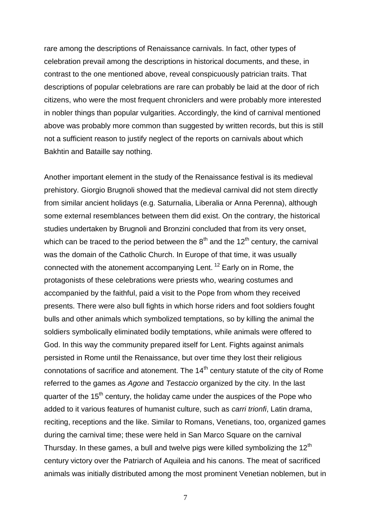rare among the descriptions of Renaissance carnivals. In fact, other types of celebration prevail among the descriptions in historical documents, and these, in contrast to the one mentioned above, reveal conspicuously patrician traits. That descriptions of popular celebrations are rare can probably be laid at the door of rich citizens, who were the most frequent chroniclers and were probably more interested in nobler things than popular vulgarities. Accordingly, the kind of carnival mentioned above was probably more common than suggested by written records, but this is still not a sufficient reason to justify neglect of the reports on carnivals about which Bakhtin and Bataille say nothing.

Another important element in the study of the Renaissance festival is its medieval prehistory. Giorgio Brugnoli showed that the medieval carnival did not stem directly from similar ancient holidays (e.g. Saturnalia, Liberalia or Anna Perenna), although some external resemblances between them did exist. On the contrary, the historical studies undertaken by Brugnoli and Bronzini concluded that from its very onset, which can be traced to the period between the  $8<sup>th</sup>$  and the 12<sup>th</sup> century, the carnival was the domain of the Catholic Church. In Europe of that time, it was usually connected with the atonement accompanying Lent. <sup>12</sup> Early on in Rome, the protagonists of these celebrations were priests who, wearing costumes and accompanied by the faithful, paid a visit to the Pope from whom they received presents. There were also bull fights in which horse riders and foot soldiers fought bulls and other animals which symbolized temptations, so by killing the animal the soldiers symbolically eliminated bodily temptations, while animals were offered to God. In this way the community prepared itself for Lent. Fights against animals persisted in Rome until the Renaissance, but over time they lost their religious connotations of sacrifice and atonement. The  $14<sup>th</sup>$  century statute of the city of Rome referred to the games as *Agone* and *Testaccio* organized by the city. In the last quarter of the  $15<sup>th</sup>$  century, the holiday came under the auspices of the Pope who added to it various features of humanist culture, such as *carri trionfi*, Latin drama, reciting, receptions and the like. Similar to Romans, Venetians, too, organized games during the carnival time; these were held in San Marco Square on the carnival Thursday. In these games, a bull and twelve pigs were killed symbolizing the 12<sup>th</sup> century victory over the Patriarch of Aquileia and his canons. The meat of sacrificed animals was initially distributed among the most prominent Venetian noblemen, but in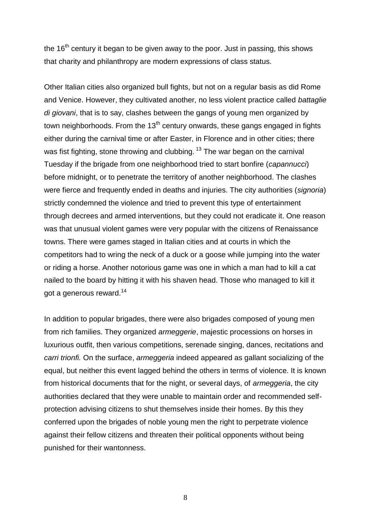the  $16<sup>th</sup>$  century it began to be given away to the poor. Just in passing, this shows that charity and philanthropy are modern expressions of class status.

Other Italian cities also organized bull fights, but not on a regular basis as did Rome and Venice. However, they cultivated another, no less violent practice called *battaglie di giovani*, that is to say, clashes between the gangs of young men organized by town neighborhoods. From the  $13<sup>th</sup>$  century onwards, these gangs engaged in fights either during the carnival time or after Easter, in Florence and in other cities; there was fist fighting, stone throwing and clubbing.<sup>13</sup> The war began on the carnival Tuesday if the brigade from one neighborhood tried to start bonfire (*capannucci*) before midnight, or to penetrate the territory of another neighborhood. The clashes were fierce and frequently ended in deaths and injuries. The city authorities (*signoria*) strictly condemned the violence and tried to prevent this type of entertainment through decrees and armed interventions, but they could not eradicate it. One reason was that unusual violent games were very popular with the citizens of Renaissance towns. There were games staged in Italian cities and at courts in which the competitors had to wring the neck of a duck or a goose while jumping into the water or riding a horse. Another notorious game was one in which a man had to kill a cat nailed to the board by hitting it with his shaven head. Those who managed to kill it got a generous reward.<sup>14</sup>

In addition to popular brigades, there were also brigades composed of young men from rich families. They organized *armeggerie*, majestic processions on horses in luxurious outfit, then various competitions, serenade singing, dances, recitations and *carri trionfi.* On the surface, *armeggeria* indeed appeared as gallant socializing of the equal, but neither this event lagged behind the others in terms of violence. It is known from historical documents that for the night, or several days, of *armeggeria*, the city authorities declared that they were unable to maintain order and recommended selfprotection advising citizens to shut themselves inside their homes. By this they conferred upon the brigades of noble young men the right to perpetrate violence against their fellow citizens and threaten their political opponents without being punished for their wantonness.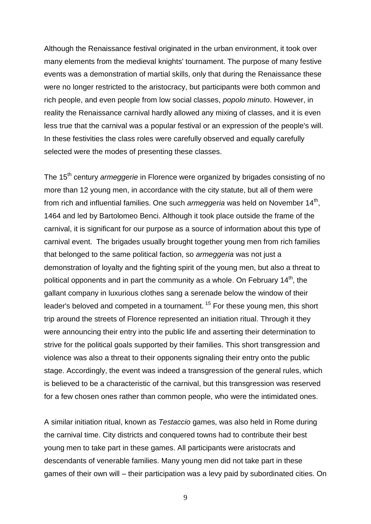Although the Renaissance festival originated in the urban environment, it took over many elements from the medieval knights' tournament. The purpose of many festive events was a demonstration of martial skills, only that during the Renaissance these were no longer restricted to the aristocracy, but participants were both common and rich people, and even people from low social classes, *popolo minuto*. However, in reality the Renaissance carnival hardly allowed any mixing of classes, and it is even less true that the carnival was a popular festival or an expression of the people's will. In these festivities the class roles were carefully observed and equally carefully selected were the modes of presenting these classes.

The 15th century *armeggerie* in Florence were organized by brigades consisting of no more than 12 young men, in accordance with the city statute, but all of them were from rich and influential families. One such *armeggeria* was held on November 14<sup>th</sup>, 1464 and led by Bartolomeo Benci. Although it took place outside the frame of the carnival, it is significant for our purpose as a source of information about this type of carnival event. The brigades usually brought together young men from rich families that belonged to the same political faction, so *armeggeria* was not just a demonstration of loyalty and the fighting spirit of the young men, but also a threat to political opponents and in part the community as a whole. On February  $14<sup>th</sup>$ , the gallant company in luxurious clothes sang a serenade below the window of their leader's beloved and competed in a tournament.<sup>15</sup> For these young men, this short trip around the streets of Florence represented an initiation ritual. Through it they were announcing their entry into the public life and asserting their determination to strive for the political goals supported by their families. This short transgression and violence was also a threat to their opponents signaling their entry onto the public stage. Accordingly, the event was indeed a transgression of the general rules, which is believed to be a characteristic of the carnival, but this transgression was reserved for a few chosen ones rather than common people, who were the intimidated ones.

A similar initiation ritual, known as *Testaccio* games, was also held in Rome during the carnival time. City districts and conquered towns had to contribute their best young men to take part in these games. All participants were aristocrats and descendants of venerable families. Many young men did not take part in these games of their own will – their participation was a levy paid by subordinated cities. On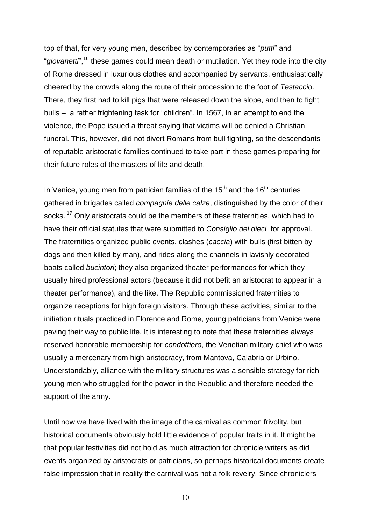top of that, for very young men, described by contemporaries as "*putti*" and "*giovanetti*",<sup>16</sup> these games could mean death or mutilation. Yet they rode into the city of Rome dressed in luxurious clothes and accompanied by servants, enthusiastically cheered by the crowds along the route of their procession to the foot of *Testaccio*. There, they first had to kill pigs that were released down the slope, and then to fight bulls – a rather frightening task for "children". In 1567, in an attempt to end the violence, the Pope issued a threat saying that victims will be denied a Christian funeral. This, however, did not divert Romans from bull fighting, so the descendants of reputable aristocratic families continued to take part in these games preparing for their future roles of the masters of life and death.

In Venice, young men from patrician families of the  $15<sup>th</sup>$  and the  $16<sup>th</sup>$  centuries gathered in brigades called *compagnie delle calze*, distinguished by the color of their socks.<sup>17</sup> Only aristocrats could be the members of these fraternities, which had to have their official statutes that were submitted to *Consiglio dei dieci* for approval. The fraternities organized public events, clashes (*caccia*) with bulls (first bitten by dogs and then killed by man), and rides along the channels in lavishly decorated boats called *bucintori*; they also organized theater performances for which they usually hired professional actors (because it did not befit an aristocrat to appear in a theater performance), and the like. The Republic commissioned fraternities to organize receptions for high foreign visitors. Through these activities, similar to the initiation rituals practiced in Florence and Rome, young patricians from Venice were paving their way to public life. It is interesting to note that these fraternities always reserved honorable membership for *condottiero*, the Venetian military chief who was usually a mercenary from high aristocracy, from Mantova, Calabria or Urbino. Understandably, alliance with the military structures was a sensible strategy for rich young men who struggled for the power in the Republic and therefore needed the support of the army.

Until now we have lived with the image of the carnival as common frivolity, but historical documents obviously hold little evidence of popular traits in it. It might be that popular festivities did not hold as much attraction for chronicle writers as did events organized by aristocrats or patricians, so perhaps historical documents create false impression that in reality the carnival was not a folk revelry. Since chroniclers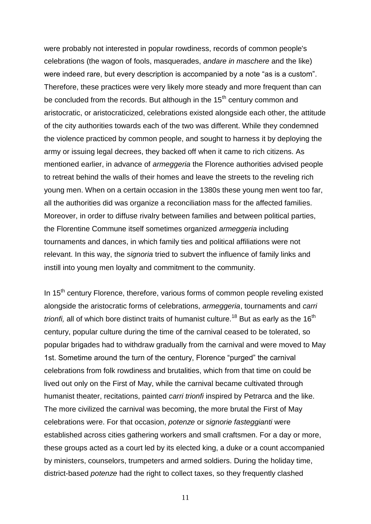were probably not interested in popular rowdiness, records of common people's celebrations (the wagon of fools, masquerades, *andare in maschere* and the like) were indeed rare, but every description is accompanied by a note "as is a custom". Therefore, these practices were very likely more steady and more frequent than can be concluded from the records. But although in the  $15<sup>th</sup>$  century common and aristocratic, or aristocraticized, celebrations existed alongside each other, the attitude of the city authorities towards each of the two was different. While they condemned the violence practiced by common people, and sought to harness it by deploying the army or issuing legal decrees, they backed off when it came to rich citizens. As mentioned earlier, in advance of *armeggeria* the Florence authorities advised people to retreat behind the walls of their homes and leave the streets to the reveling rich young men. When on a certain occasion in the 1380s these young men went too far, all the authorities did was organize a reconciliation mass for the affected families. Moreover, in order to diffuse rivalry between families and between political parties, the Florentine Commune itself sometimes organized *armeggeria* including tournaments and dances, in which family ties and political affiliations were not relevant. In this way, the *signoria* tried to subvert the influence of family links and instill into young men loyalty and commitment to the community.

In  $15<sup>th</sup>$  century Florence, therefore, various forms of common people reveling existed alongside the aristocratic forms of celebrations, *armeggeria*, tournaments and *carri trionfi*, all of which bore distinct traits of humanist culture.<sup>18</sup> But as early as the 16<sup>th</sup> century, popular culture during the time of the carnival ceased to be tolerated, so popular brigades had to withdraw gradually from the carnival and were moved to May 1st. Sometime around the turn of the century, Florence "purged" the carnival celebrations from folk rowdiness and brutalities, which from that time on could be lived out only on the First of May, while the carnival became cultivated through humanist theater, recitations, painted *carri trionfi* inspired by Petrarca and the like. The more civilized the carnival was becoming, the more brutal the First of May celebrations were. For that occasion, *potenze* or *signorie fasteggianti* were established across cities gathering workers and small craftsmen. For a day or more, these groups acted as a court led by its elected king, a duke or a count accompanied by ministers, counselors, trumpeters and armed soldiers. During the holiday time, district-based *potenze* had the right to collect taxes, so they frequently clashed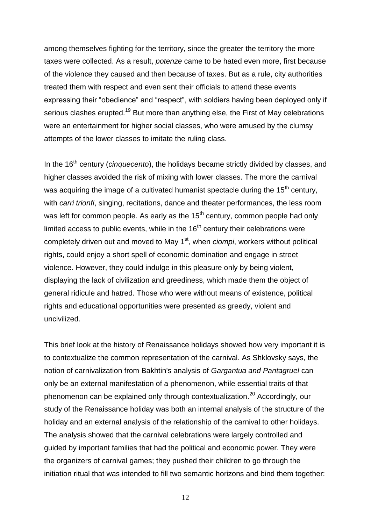among themselves fighting for the territory, since the greater the territory the more taxes were collected. As a result, *potenze* came to be hated even more, first because of the violence they caused and then because of taxes. But as a rule, city authorities treated them with respect and even sent their officials to attend these events expressing their "obedience" and "respect", with soldiers having been deployed only if serious clashes erupted.<sup>19</sup> But more than anything else, the First of May celebrations were an entertainment for higher social classes, who were amused by the clumsy attempts of the lower classes to imitate the ruling class.

In the 16<sup>th</sup> century (*cinquecento*), the holidays became strictly divided by classes, and higher classes avoided the risk of mixing with lower classes. The more the carnival was acquiring the image of a cultivated humanist spectacle during the  $15<sup>th</sup>$  century, with *carri trionfi*, singing, recitations, dance and theater performances, the less room was left for common people. As early as the  $15<sup>th</sup>$  century, common people had only limited access to public events, while in the  $16<sup>th</sup>$  century their celebrations were completely driven out and moved to May 1<sup>st</sup>, when *ciompi*, workers without political rights, could enjoy a short spell of economic domination and engage in street violence. However, they could indulge in this pleasure only by being violent, displaying the lack of civilization and greediness, which made them the object of general ridicule and hatred. Those who were without means of existence, political rights and educational opportunities were presented as greedy, violent and uncivilized.

This brief look at the history of Renaissance holidays showed how very important it is to contextualize the common representation of the carnival. As Shklovsky says, the notion of carnivalization from Bakhtin's analysis of *Gargantua and Pantagruel* can only be an external manifestation of a phenomenon, while essential traits of that phenomenon can be explained only through contextualization.<sup>20</sup> Accordingly, our study of the Renaissance holiday was both an internal analysis of the structure of the holiday and an external analysis of the relationship of the carnival to other holidays. The analysis showed that the carnival celebrations were largely controlled and guided by important families that had the political and economic power. They were the organizers of carnival games; they pushed their children to go through the initiation ritual that was intended to fill two semantic horizons and bind them together: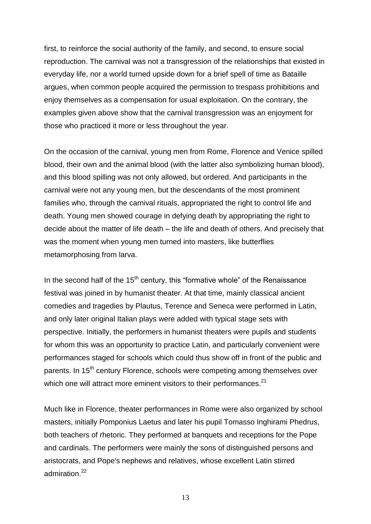first, to reinforce the social authority of the family, and second, to ensure social reproduction. The carnival was not a transgression of the relationships that existed in everyday life, nor a world turned upside down for a brief spell of time as Bataille argues, when common people acquired the permission to trespass prohibitions and enjoy themselves as a compensation for usual exploitation. On the contrary, the examples given above show that the carnival transgression was an enjoyment for those who practiced it more or less throughout the year.

On the occasion of the carnival, young men from Rome, Florence and Venice spilled blood, their own and the animal blood (with the latter also symbolizing human blood), and this blood spilling was not only allowed, but ordered. And participants in the carnival were not any young men, but the descendants of the most prominent families who, through the carnival rituals, appropriated the right to control life and death. Young men showed courage in defying death by appropriating the right to decide about the matter of life death – the life and death of others. And precisely that was the moment when young men turned into masters, like butterflies metamorphosing from larva.

In the second half of the  $15<sup>th</sup>$  century, this "formative whole" of the Renaissance festival was joined in by humanist theater. At that time, mainly classical ancient comedies and tragedies by Plautus, Terence and Seneca were performed in Latin, and only later original Italian plays were added with typical stage sets with perspective. Initially, the performers in humanist theaters were pupils and students for whom this was an opportunity to practice Latin, and particularly convenient were performances staged for schools which could thus show off in front of the public and parents. In 15<sup>th</sup> century Florence, schools were competing among themselves over which one will attract more eminent visitors to their performances.<sup>21</sup>

Much like in Florence, theater performances in Rome were also organized by school masters, initially Pomponius Laetus and later his pupil Tomasso Inghirami Phedrus, both teachers of rhetoric. They performed at banquets and receptions for the Pope and cardinals. The performers were mainly the sons of distinguished persons and aristocrats, and Pope's nephews and relatives, whose excellent Latin stirred admiration.<sup>22</sup>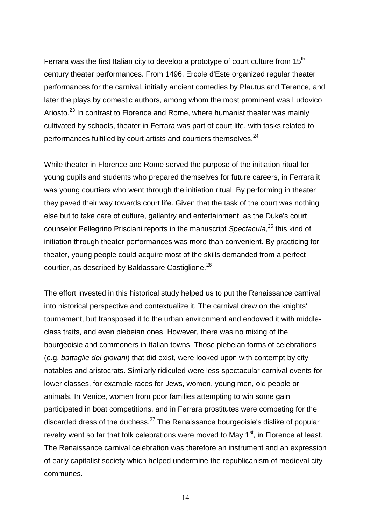Ferrara was the first Italian city to develop a prototype of court culture from  $15<sup>th</sup>$ century theater performances. From 1496, Ercole d'Este organized regular theater performances for the carnival, initially ancient comedies by Plautus and Terence, and later the plays by domestic authors, among whom the most prominent was Ludovico Ariosto.<sup>23</sup> In contrast to Florence and Rome, where humanist theater was mainly cultivated by schools, theater in Ferrara was part of court life, with tasks related to performances fulfilled by court artists and courtiers themselves.<sup>24</sup>

While theater in Florence and Rome served the purpose of the initiation ritual for young pupils and students who prepared themselves for future careers, in Ferrara it was young courtiers who went through the initiation ritual. By performing in theater they paved their way towards court life. Given that the task of the court was nothing else but to take care of culture, gallantry and entertainment, as the Duke's court counselor Pellegrino Prisciani reports in the manuscript *Spectacula*, <sup>25</sup> this kind of initiation through theater performances was more than convenient. By practicing for theater, young people could acquire most of the skills demanded from a perfect courtier, as described by Baldassare Castiglione.<sup>26</sup>

The effort invested in this historical study helped us to put the Renaissance carnival into historical perspective and contextualize it. The carnival drew on the knights' tournament, but transposed it to the urban environment and endowed it with middleclass traits, and even plebeian ones. However, there was no mixing of the bourgeoisie and commoners in Italian towns. Those plebeian forms of celebrations (e.g. *battaglie dei giovani*) that did exist, were looked upon with contempt by city notables and aristocrats. Similarly ridiculed were less spectacular carnival events for lower classes, for example races for Jews, women, young men, old people or animals. In Venice, women from poor families attempting to win some gain participated in boat competitions, and in Ferrara prostitutes were competing for the discarded dress of the duchess.<sup>27</sup> The Renaissance bourgeoisie's dislike of popular revelry went so far that folk celebrations were moved to May  $1<sup>st</sup>$ , in Florence at least. The Renaissance carnival celebration was therefore an instrument and an expression of early capitalist society which helped undermine the republicanism of medieval city communes.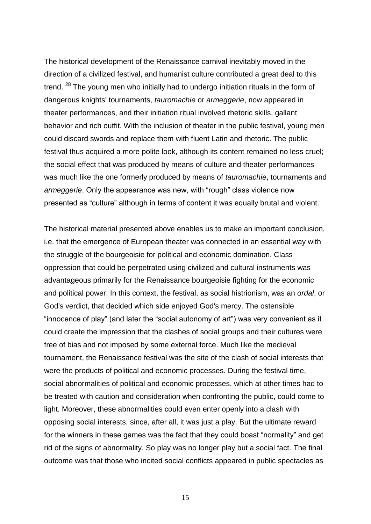The historical development of the Renaissance carnival inevitably moved in the direction of a civilized festival, and humanist culture contributed a great deal to this trend. <sup>28</sup> The young men who initially had to undergo initiation rituals in the form of dangerous knights' tournaments, *tauromachie* or *armeggerie*, now appeared in theater performances, and their initiation ritual involved rhetoric skills, gallant behavior and rich outfit. With the inclusion of theater in the public festival, young men could discard swords and replace them with fluent Latin and rhetoric. The public festival thus acquired a more polite look, although its content remained no less cruel; the social effect that was produced by means of culture and theater performances was much like the one formerly produced by means of *tauromachie*, tournaments and *armeggerie*. Only the appearance was new, with "rough" class violence now presented as "culture" although in terms of content it was equally brutal and violent.

The historical material presented above enables us to make an important conclusion, i.e. that the emergence of European theater was connected in an essential way with the struggle of the bourgeoisie for political and economic domination. Class oppression that could be perpetrated using civilized and cultural instruments was advantageous primarily for the Renaissance bourgeoisie fighting for the economic and political power. In this context, the festival, as social histrionism, was an *ordal*, or God's verdict, that decided which side enjoyed God's mercy. The ostensible "innocence of play" (and later the "social autonomy of art") was very convenient as it could create the impression that the clashes of social groups and their cultures were free of bias and not imposed by some external force. Much like the medieval tournament, the Renaissance festival was the site of the clash of social interests that were the products of political and economic processes. During the festival time, social abnormalities of political and economic processes, which at other times had to be treated with caution and consideration when confronting the public, could come to light. Moreover, these abnormalities could even enter openly into a clash with opposing social interests, since, after all, it was just a play. But the ultimate reward for the winners in these games was the fact that they could boast "normality" and get rid of the signs of abnormality. So play was no longer play but a social fact. The final outcome was that those who incited social conflicts appeared in public spectacles as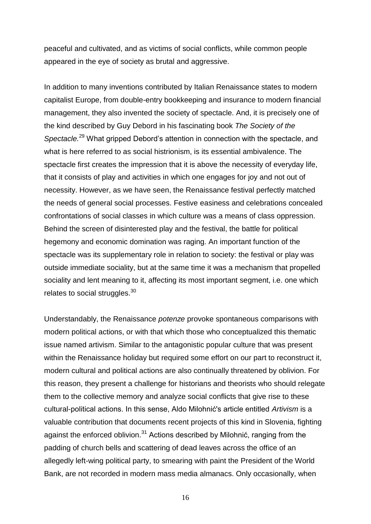peaceful and cultivated, and as victims of social conflicts, while common people appeared in the eye of society as brutal and aggressive.

In addition to many inventions contributed by Italian Renaissance states to modern capitalist Europe, from double-entry bookkeeping and insurance to modern financial management, they also invented the society of spectacle. And, it is precisely one of the kind described by Guy Debord in his fascinating book *The Society of the Spectacle.*<sup>29</sup> What gripped Debord's attention in connection with the spectacle, and what is here referred to as social histrionism, is its essential ambivalence. The spectacle first creates the impression that it is above the necessity of everyday life, that it consists of play and activities in which one engages for joy and not out of necessity. However, as we have seen, the Renaissance festival perfectly matched the needs of general social processes. Festive easiness and celebrations concealed confrontations of social classes in which culture was a means of class oppression. Behind the screen of disinterested play and the festival, the battle for political hegemony and economic domination was raging. An important function of the spectacle was its supplementary role in relation to society: the festival or play was outside immediate sociality, but at the same time it was a mechanism that propelled sociality and lent meaning to it, affecting its most important segment, i.e. one which relates to social struggles. $30$ 

Understandably, the Renaissance *potenze* provoke spontaneous comparisons with modern political actions, or with that which those who conceptualized this thematic issue named artivism. Similar to the antagonistic popular culture that was present within the Renaissance holiday but required some effort on our part to reconstruct it, modern cultural and political actions are also continually threatened by oblivion. For this reason, they present a challenge for historians and theorists who should relegate them to the collective memory and analyze social conflicts that give rise to these cultural-political actions. In this sense, Aldo Milohnić's article entitled *Artivism* is a valuable contribution that documents recent projects of this kind in Slovenia, fighting against the enforced oblivion. $31$  Actions described by Milohnić, ranging from the padding of church bells and scattering of dead leaves across the office of an allegedly left-wing political party, to smearing with paint the President of the World Bank, are not recorded in modern mass media almanacs. Only occasionally, when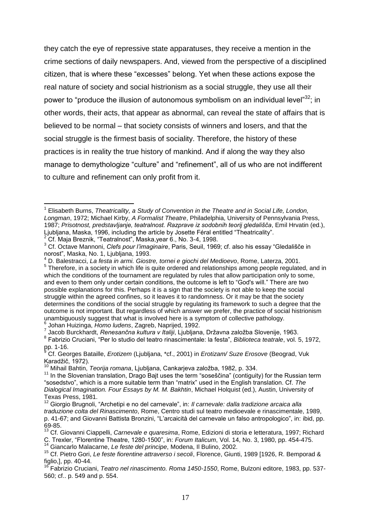they catch the eye of repressive state apparatuses, they receive a mention in the crime sections of daily newspapers. And, viewed from the perspective of a disciplined citizen, that is where these "excesses" belong. Yet when these actions expose the real nature of society and social histrionism as a social struggle, they use all their power to "produce the illusion of autonomous symbolism on an individual level" $32$ ; in other words, their acts, that appear as abnormal, can reveal the state of affairs that is believed to be normal – that society consists of winners and losers, and that the social struggle is the firmest basis of sociality. Therefore, the history of these practices is in reality the true history of mankind. And if along the way they also manage to demythologize "culture" and "refinement", all of us who are not indifferent to culture and refinement can only profit from it.

<sup>2</sup> Cf. Maja Breznik, "Teatralnost", Maska,year 6., No. 3-4, 1998.

<sup>&</sup>lt;sup>1</sup> Elisabeth Burns, *Theatricality, a Study of Convention in the Theatre and in Social Life, London, Longman*, 1972; Michael Kirby, *A Formalist Theatre*, Philadelphia, University of Pennsylvania Press, 1987; *Prisotnost, predstavljanje, teatralnost. Razprave iz sodobnih teorij gledališča*, Emil Hrvatin (ed.), Ljubljana, Maska, 1996, including the article by Josette Féral entitled "Theatricality".

<sup>3</sup> Cf. Octave Mannoni, *Clefs pour l'imaginaire*, Paris, Seuil, 1969; cf. also his essay "Gledališče in norost", Maska, No. 1, Ljubljana, 1993.

<sup>4</sup> D. Balestracci, *La festa in armi. Giostre, tornei e giochi del Medioevo*, Rome, Laterza, 2001.

<sup>&</sup>lt;sup>5</sup> Therefore, in a society in which life is quite ordered and relationships among people regulated, and in which the conditions of the tournament are regulated by rules that allow participation only to some, and even to them only under certain conditions, the outcome is left to "God's will." There are two possible explanations for this. Perhaps it is a sign that the society is not able to keep the social struggle within the agreed confines, so it leaves it to randomness. Or it may be that the society determines the conditions of the social struggle by regulating its framework to such a degree that the outcome is not important. But regardless of which answer we prefer, the practice of social histrionism unambiguously suggest that what is involved here is a symptom of collective pathology. <sup>6</sup> Johan Huizinga, *Homo Iudens*, Zagreb, Naprijed, 1992.<br><sup>7</sup> Jacob Burekberdt, Renesenšna kulture v Italiji, Ljubljen

Jacob Burckhardt, *Renesančna kultura v Italiji*, Ljubljana, Državna založba Slovenije, 1963. 8 Fabrizio Cruciani, "Per lo studio del teatro rinascimentale: la festa", *Biblioteca teatrale*, vol. 5, 1972,  $pp. 1-16.$ 

<sup>9</sup> Cf. Georges Bataille, *Erotizem* (Ljubljana, \*cf., 2001) in *Erotizam/ Suze Erosove* (Beograd, Vuk Karadžič, 1972).

<sup>10</sup> Mihail Bahtin, *Teorija romana*, Ljubljana, Cankarjeva založba, 1982, p. 334.

<sup>&</sup>lt;sup>11</sup> In the Slovenian translation, Drago Bajt uses the term "soseščina" (contiguity) for the Russian term "sosedstvo", which is a more suitable term than "matrix" used in the English translation. Cf. *The Dialogical Imagination. Four Essays by M. M. Bakhtin*, Michael Holquist (ed.), Austin, University of Texas Press, 1981.

<sup>12</sup> Giorgio Brugnoli, "Archetipi e no del carnevale", in: *Il carnevale: dalla tradizione arcaica alla traduzione colta del Rinascimento*, Rome, Centro studi sul teatro medioevale e rinascimentale, 1989, p. 41-67; and Giovanni Battista Bronzini, "L'arcaicità del carnevale un falso antropologico", in: ibid, pp. 69-85.

<sup>13</sup> Cf. Giovanni Ciappelli, *Carnevale e quaresima*, Rome, Edizioni di storia e letteratura, 1997; Richard C. Trexler, "Florentine Theatre, 1280-1500", in: *Forum Italicum*, Vol. 14, No. 3, 1980, pp. 454-475.

<sup>14</sup> Giancarlo Malacarne, *Le feste del principe*, Modena, Il Bulino, 2002.

<sup>15</sup> Cf. Pietro Gori, *Le feste fiorentine attraverso i secoli*, Florence, Giunti, 1989 [1926, R. Bemporad & figlio,], pp. 40-44.

<sup>16</sup> Fabrizio Cruciani, *Teatro nel rinascimento. Roma 1450-1550*, Rome, Bulzoni editore, 1983, pp. 537- 560; cf.. p. 549 and p. 554.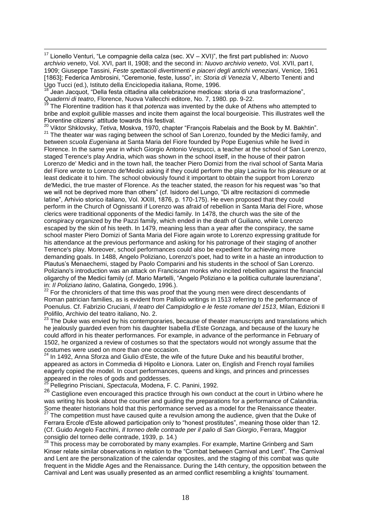$\overline{a}$ <sup>17</sup> Lionello Venturi, "Le compagnie della calza (sec. XV – XVI)", the first part published in: *Nuovo archivio veneto*, Vol. XVI, part II, 1908; and the second in: *Nuovo archivio veneto*, Vol. XVII, part I, 1909; Giuseppe Tassini, *Feste spettacoli divertimenti e piaceri degli antichi veneziani*, Venice, 1961 [1863]; Federica Ambrosini, "Ceremonie, feste, lusso", in: *Storia di Venezia* V, Alberto Tenenti and Ugo Tucci (ed.), Istituto della Enciclopedia italiana, Rome, 1996.

<sup>18</sup> Jean Jacquot, "Della festa cittadina alla celebrazione medicea: storia di una trasformazione", *Quaderni di teatro*, Florence, Nuova Vallecchi editore, No. 7, 1980. pp. 9-22.

<sup>19</sup> The Florentine tradition has it that *potenza* was invented by the duke of Athens who attempted to bribe and exploit gullible masses and incite them against the local bourgeoisie. This illustrates well the Florentine citizens' attitude towards this festival.

<sup>20</sup> Viktor Shklovsky, *Tetiva*, Moskva, 1970, chapter "François Rabelais and the Book by M. Bakhtin". <sup>21</sup> The theater war was raging between the school of San Lorenzo, founded by the Medici family, and between *scuola Eugeniana* at Santa Maria del Fiore founded by Pope Eugenius while he lived in Florence. In the same year in which Giorgio Antonio Vespucci, a teacher at the school of San Lorenzo, staged Terence's play Andria, which was shown in the school itself, in the house of their patron Lorenzo de' Medici and in the town hall, the teacher Piero Domizi from the rival school of Santa Maria del Fiore wrote to Lorenzo de'Medici asking if they could perform the play Lacinia for his pleasure or at least dedicate it to him. The school obviously found it important to obtain the support from Lorenzo de'Medici, the true master of Florence. As the teacher stated, the reason for his request was "so that we will not be deprived more than others" (cf. Isidoro del Lungo, "Di altre recitazioni di commedie latine", Arhivio storico italiano, Vol. XXIII, 1876, p. 170-175). He even proposed that they could perform in the Church of Ognissanti if Lorenzo was afraid of rebellion in Santa Maria del Fiore, whose clerics were traditional opponents of the Medici family. In 1478, the church was the site of the conspiracy organized by the Pazzi family, which ended in the death of Guiliano, while Lorenzo escaped by the skin of his teeth. In 1479, meaning less than a year after the conspiracy, the same school master Piero Domizi of Santa Maria del Fiore again wrote to Lorenzo expressing gratitude for his attendance at the previous performance and asking for his patronage of their staging of another Terence's play. Moreover, school performances could also be expedient for achieving more demanding goals. In 1488, Angelo Poliziano, Lorenzo's poet, had to write in a haste an introduction to Plautus's Menaechemi, staged by Paolo Comparini and his students in the school of San Lorenzo. Poliziano's introduction was an attack on Franciscan monks who incited rebellion against the financial oligarchy of the Medici family (cf. Mario Martelli, "Angelo Poliziano e la politica culturale laurenziana", in: *Il Poliziano latino*, Galatina, Gongedo, 1996.).

 $22$  For the chroniclers of that time this was proof that the young men were direct descendants of Roman patrician families, as is evident from Palliolo writings in 1513 referring to the performance of Poenulus. Cf. Fabrizio Cruciani, *Il teatro del Campidoglio e le feste romane del 1513*, Milan, Edizioni Il Polifilo, Archivio del teatro italiano, No. 2.

 $23$  The Duke was envied by his contemporaries, because of theater manuscripts and translations which he jealously guarded even from his daughter Isabella d'Este Gonzaga, and because of the luxury he could afford in his theater performances. For example, in advance of the performance in February of 1502, he organized a review of costumes so that the spectators would not wrongly assume that the costumes were used on more than one occasion.

 $24$  In 1492, Anna Sforza and Giulio d'Este, the wife of the future Duke and his beautiful brother, appeared as actors in Commedia di Hipolito e Lionora. Later on, English and French royal families eagerly copied the model. In court performances, queens and kings, and princes and princesses appeared in the roles of gods and goddesses.

<sup>25</sup> Pellegrino Prisciani, *Spectacula*, Modena, F. C. Panini, 1992.

26 Castiglione even encouraged this practice through his own conduct at the court in Urbino where he was writing his book about the courtier and guiding the preparations for a performance of Calandria. Some theater historians hold that this performance served as a model for the Renaissance theater.

 $27$  The competition must have caused quite a revulsion among the audience, given that the Duke of Ferrara Ercole d'Este allowed participation only to "honest prostitutes", meaning those older than 12. (Cf. Guido Angelo Facchini, *Il torneo delle contrade per il palio di San Giorgio*, Ferrara, Maggior consiglio del torneo delle contrade, 1939, p. 14.)

<sup>28</sup> This process may be corroborated by many examples. For example, Martine Grinberg and Sam Kinser relate similar observations in relation to the "Combat between Carnival and Lent". The Carnival and Lent are the personalization of the calendar opposites, and the staging of this combat was quite frequent in the Middle Ages and the Renaissance. During the 14th century, the opposition between the Carnival and Lent was usually presented as an armed conflict resembling a knights' tournament.